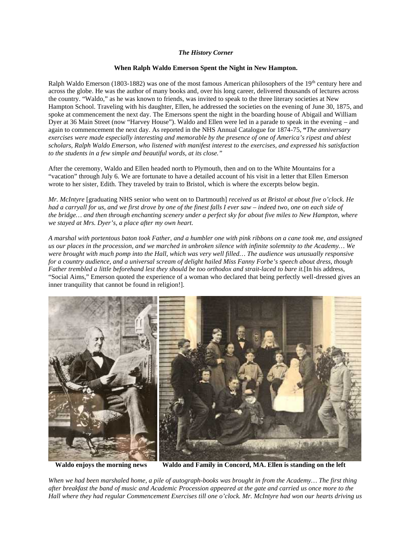## *The History Corner*

## **When Ralph Waldo Emerson Spent the Night in New Hampton.**

Ralph Waldo Emerson (1803-1882) was one of the most famous American philosophers of the 19th century here and across the globe. He was the author of many books and, over his long career, delivered thousands of lectures across the country. "Waldo," as he was known to friends, was invited to speak to the three literary societies at New Hampton School. Traveling with his daughter, Ellen, he addressed the societies on the evening of June 30, 1875, and spoke at commencement the next day. The Emersons spent the night in the boarding house of Abigail and William Dyer at 36 Main Street (now "Harvey House"). Waldo and Ellen were led in a parade to speak in the evening – and again to commencement the next day. As reported in the NHS Annual Catalogue for 1874-75, **"***The anniversary exercises were made especially interesting and memorable by the presence of one of America's ripest and ablest scholars, Ralph Waldo Emerson, who listened with manifest interest to the exercises, and expressed his satisfaction to the students in a few simple and beautiful words, at its close."*

After the ceremony, Waldo and Ellen headed north to Plymouth, then and on to the White Mountains for a "vacation" through July 6. We are fortunate to have a detailed account of his visit in a letter that Ellen Emerson wrote to her sister, Edith. They traveled by train to Bristol, which is where the excerpts below begin.

*Mr. McIntyre* [graduating NHS senior who went on to Dartmouth] *received us at Bristol at about five o'clock. He had a carryall for us, and we first drove by one of the finest falls I ever saw – indeed two, one on each side of the bridge… and then through enchanting scenery under a perfect sky for about five miles to New Hampton, where we stayed at Mrs. Dyer's, a place after my own heart.*

*A marshal with portentous baton took Father, and a humbler one with pink ribbons on a cane took me, and assigned us our places in the procession, and we marched in unbroken silence with infinite solemnity to the Academy… We were brought with much pomp into the Hall, which was very well filled… The audience was unusually responsive for a country audience, and a universal scream of delight hailed Miss Fanny Forbe's speech about dress, though Father trembled a little beforehand lest they should be too orthodox and strait-laced to bare it.*[In his address, "Social Aims," Emerson quoted the experience of a woman who declared that being perfectly well-dressed gives an inner tranquility that cannot be found in religion!].



**Waldo enjoys the morning news Waldo and Family in Concord, MA. Ellen is standing on the left**

*When we had been marshaled home, a pile of autograph-books was brought in from the Academy… The first thing after breakfast the band of music and Academic Procession appeared at the gate and carried us once more to the Hall where they had regular Commencement Exercises till one o'clock. Mr. McIntyre had won our hearts driving us*